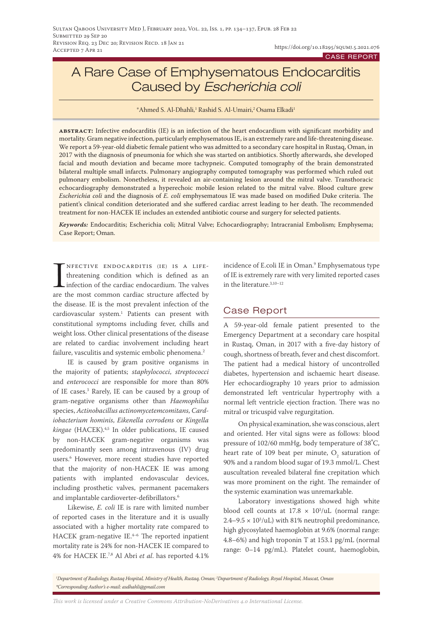# A Rare Case of Emphysematous Endocarditis Caused by *Escherichia coli*

 $^*$ Ahmed S. Al-Dhahli, $^1$  Rashid S. Al-Umairi, $^2$ Osama Elkadi $^1$ 

**abstract:** Infective endocarditis (IE) is an infection of the heart endocardium with significant morbidity and mortality. Gram negative infection, particularly emphysematous IE, is an extremely rare and life-threatening disease. We report a 59-year-old diabetic female patient who was admitted to a secondary care hospital in Rustaq, Oman, in 2017 with the diagnosis of pneumonia for which she was started on antibiotics. Shortly afterwards, she developed facial and mouth deviation and became more tachypneic. Computed tomography of the brain demonstrated bilateral multiple small infarcts. Pulmonary angiography computed tomography was performed which ruled out pulmonary embolism. Nonetheless, it revealed an air-containing lesion around the mitral valve. Transthoracic echocardiography demonstrated a hyperechoic mobile lesion related to the mitral valve. Blood culture grew *Escherichia coli* and the diagnosis of *E. coli* emphysematous IE was made based on modified Duke criteria. The patient's clinical condition deteriorated and she suffered cardiac arrest leading to her death. The recommended treatment for non-HACEK IE includes an extended antibiotic course and surgery for selected patients.

*Keywords:* Endocarditis; Escherichia coli; Mitral Valve; Echocardiography; Intracranial Embolism; Emphysema; Case Report; Oman.

INFECTIVE ENDOCARDITIS (IE) IS A LIFE-<br>threatening condition which is defined as an<br>infection of the cardiac endocardium. The valves<br>are the most common cardiac structure affected by nfective endocarditis (ie) is a lifethreatening condition which is defined as an infection of the cardiac endocardium. The valves the disease. IE is the most prevalent infection of the cardiovascular system.1 Patients can present with constitutional symptoms including fever, chills and weight loss. Other clinical presentations of the disease are related to cardiac involvement including heart failure, vasculitis and systemic embolic phenomena.<sup>2</sup>

IE is caused by gram positive organisms in the majority of patients; *staphylococci*, *streptococci* and *enterococci* are responsible for more than 80% of IE cases.3 Rarely, IE can be caused by a group of gram-negative organisms other than *Haemophilus* species, *Actinobacillus actinomycetemcomitans*, *Cardiobacterium hominis*, *Eikenella corrodens* or *Kingella kingae* (HACEK).4,5 In older publications, IE caused by non-HACEK gram-negative organisms was predominantly seen among intravenous (IV) drug users.6 However, more recent studies have reported that the majority of non-HACEK IE was among patients with implanted endovascular devices, including prosthetic valves, permanent pacemakers and implantable cardioverter-defibrillators.<sup>6</sup>

Likewise, *E. coli* IE is rare with limited number of reported cases in the literature and it is usually associated with a higher mortality rate compared to HACEK gram-negative IE. $4-6$  The reported inpatient mortality rate is 24% for non-HACEK IE compared to 4% for HACEK IE.7,8 Al Abri *et al*. has reported 4.1%

incidence of E.coli IE in Oman.9 Emphysematous type of IE is extremely rare with very limited reported cases in the literature.3,10–12

## Case Report

A 59-year-old female patient presented to the Emergency Department at a secondary care hospital in Rustaq, Oman, in 2017 with a five-day history of cough, shortness of breath, fever and chest discomfort. The patient had a medical history of uncontrolled diabetes, hypertension and ischaemic heart disease. Her echocardiography 10 years prior to admission demonstrated left ventricular hypertrophy with a normal left ventricle ejection fraction. There was no mitral or tricuspid valve regurgitation.

On physical examination, she was conscious, alert and oriented. Her vital signs were as follows: blood pressure of 102/60 mmHg, body temperature of 38**°** C, heart rate of 109 beat per minute,  $\overline{O}_2$  saturation of 90% and a random blood sugar of 19.3 mmol/L. Chest auscultation revealed bilateral fine crepitation which was more prominent on the right. The remainder of the systemic examination was unremarkable.

Laboratory investigations showed high white blood cell counts at  $17.8 \times 10^3/\text{uL}$  (normal range:  $2.4 - 9.5 \times 10^3/\text{uL}$ ) with 81% neutrophil predominance, high glycosylated haemoglobin at 9.6% (normal range: 4.8–6%) and high troponin T at 153.1 pg/mL (normal range: 0–14 pg/mL). Platelet count, haemoglobin,

*This work is licensed under a [Creative Commons Attribution-NoDerivatives 4.0 International License.](https://creativecommons.org/licenses/by-nd/4.0/)*

*<sup>1</sup> Department of Radiology, Rustaq Hospital, Ministry of Health, Rustaq, Oman; 2 Department of Radiology, Royal Hospital, Muscat, Oman \*Corresponding Author's e-mail: asdhahli@gmail.com*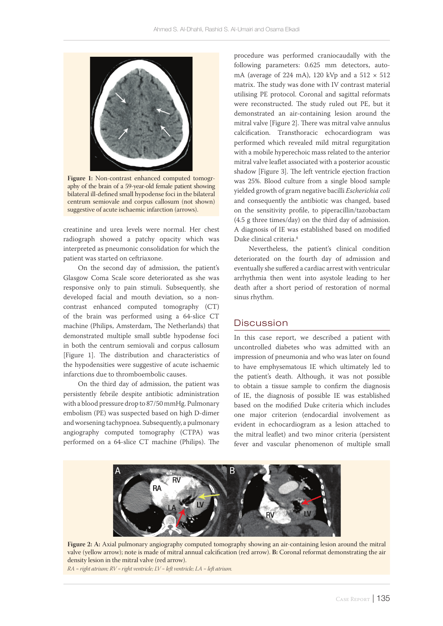

**Figure 1:** Non-contrast enhanced computed tomography of the brain of a 59-year-old female patient showing bilateral ill-defined small hypodense foci in the bilateral centrum semiovale and corpus callosum (not shown) suggestive of acute ischaemic infarction (arrows).

creatinine and urea levels were normal. Her chest radiograph showed a patchy opacity which was interpreted as pneumonic consolidation for which the patient was started on ceftriaxone.

On the second day of admission, the patient's Glasgow Coma Scale score deteriorated as she was responsive only to pain stimuli. Subsequently, she developed facial and mouth deviation, so a noncontrast enhanced computed tomography (CT) of the brain was performed using a 64-slice CT machine (Philips, Amsterdam, The Netherlands) that demonstrated multiple small subtle hypodense foci in both the centrum semiovali and corpus callosum [Figure 1]. The distribution and characteristics of the hypodensities were suggestive of acute ischaemic infarctions due to thromboembolic causes.

On the third day of admission, the patient was persistently febrile despite antibiotic administration with a blood pressure drop to 87/50 mmHg. Pulmonary embolism (PE) was suspected based on high D-dimer and worsening tachypnoea. Subsequently, a pulmonary angiography computed tomography (CTPA) was performed on a 64-slice CT machine (Philips). The procedure was performed craniocaudally with the following parameters: 0.625 mm detectors, automA (average of 224 mA), 120 kVp and a  $512 \times 512$ matrix. The study was done with IV contrast material utilising PE protocol. Coronal and sagittal reformats were reconstructed. The study ruled out PE, but it demonstrated an air-containing lesion around the mitral valve [Figure 2]. There was mitral valve annulus calcification. Transthoracic echocardiogram was performed which revealed mild mitral regurgitation with a mobile hyperechoic mass related to the anterior mitral valve leaflet associated with a posterior acoustic shadow [Figure 3]. The left ventricle ejection fraction was 25%. Blood culture from a single blood sample yielded growth of gram negative bacilli *Escherichia coli* and consequently the antibiotic was changed, based on the sensitivity profile, to piperacillin/tazobactam (4.5 g three times/day) on the third day of admission. A diagnosis of IE was established based on modified Duke clinical criteria.<sup>8</sup>

Nevertheless, the patient's clinical condition deteriorated on the fourth day of admission and eventually she suffered a cardiac arrest with ventricular arrhythmia then went into asystole leading to her death after a short period of restoration of normal sinus rhythm.

#### **Discussion**

In this case report, we described a patient with uncontrolled diabetes who was admitted with an impression of pneumonia and who was later on found to have emphysematous IE which ultimately led to the patient's death. Although, it was not possible to obtain a tissue sample to confirm the diagnosis of IE, the diagnosis of possible IE was established based on the modified Duke criteria which includes one major criterion (endocardial involvement as evident in echocardiogram as a lesion attached to the mitral leaflet) and two minor criteria (persistent fever and vascular phenomenon of multiple small



**Figure 2: A:** Axial pulmonary angiography computed tomography showing an air-containing lesion around the mitral valve (yellow arrow); note is made of mitral annual calcification (red arrow). **B:** Coronal reformat demonstrating the air density lesion in the mitral valve (red arrow).

*RA = right atrium; RV = right ventricle; LV = left ventricle; LA = left atrium.*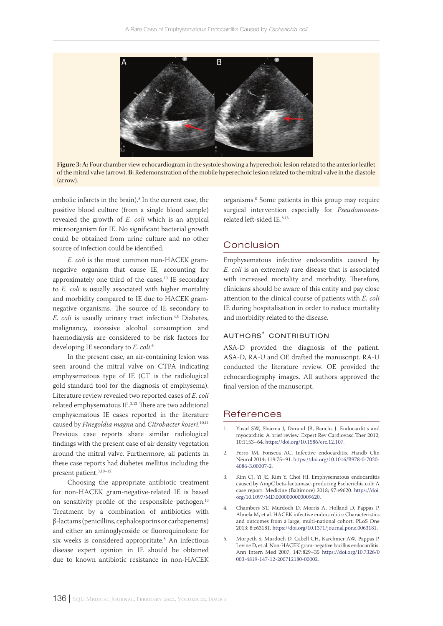

**Figure 3: A:** Four chamber view echocardiogram in the systole showing a hyperechoic lesion related to the anterior leaflet of the mitral valve (arrow). **B:** Redemonstration of the mobile hyperechoic lesion related to the mitral valve in the diastole (arrow).

embolic infarcts in the brain).<sup>8</sup> In the current case, the positive blood culture (from a single blood sample) revealed the growth of *E. coli* which is an atypical microorganism for IE. No significant bacterial growth could be obtained from urine culture and no other source of infection could be identified.

*E. coli* is the most common non-HACEK gramnegative organism that cause IE, accounting for approximately one third of the cases.10 IE secondary to *E. coli* is usually associated with higher mortality and morbidity compared to IE due to HACEK gramnegative organisms. The source of IE secondary to *E. coli* is usually urinary tract infection.<sup>4,5</sup> Diabetes, malignancy, excessive alcohol consumption and haemodialysis are considered to be risk factors for developing IE secondary to *E. coli*. 6

In the present case, an air-containing lesion was seen around the mitral valve on CTPA indicating emphysematous type of IE (CT is the radiological gold standard tool for the diagnosis of emphysema). Literature review revealed two reported cases of *E. coli* related emphysematous IE.3,12 There are two additional emphysematous IE cases reported in the literature caused by *Finegoldia magna* and *Citrobacter koseri*. 10,11 Previous case reports share similar radiological findings with the present case of air density vegetation around the mitral valve. Furthermore, all patients in these case reports had diabetes mellitus including the present patient.<sup>3,10-12</sup>

Choosing the appropriate antibiotic treatment for non-HACEK gram-negative-related IE is based on sensitivity profile of the responsible pathogen.<sup>13</sup> Treatment by a combination of antibiotics with β-lactams (penicillins, cephalosporins or carbapenems) and either an aminoglycoside or fluoroquinolone for six weeks is considered appropritate.8 An infectious disease expert opinion in IE should be obtained due to known antibiotic resistance in non-HACEK

organisms.8 Some patients in this group may require surgical intervention especially for *Pseudomonas*related left-sided IE.8,13

### Conclusion

Emphysematous infective endocarditis caused by *E. coli* is an extremely rare disease that is associated with increased mortality and morbidity. Therefore, clinicians should be aware of this entity and pay close attention to the clinical course of patients with *E. coli* IE during hospitalisation in order to reduce mortality and morbidity related to the disease.

#### authors' contribution

ASA-D provided the diagnosis of the patient. ASA-D, RA-U and OE drafted the manuscript. RA-U conducted the literature review. OE provided the echocardiography images. All authors approved the final version of the manuscript.

#### **References**

- 1. Yusuf SW, Sharma J, Durand JB, Banchs J. Endocarditis and myocarditis: A brief review. Expert Rev Cardiovasc Ther 2012; 10:1153–64. <https://doi.org/10.1586/erc.12.107.>
- 2. Ferro JM, Fonseca AC. Infective endocarditis. Handb Clin Neurol 2014; 119:75–91. [https://doi.org/10.1016/B978-0-7020-](https://doi.org/10.1016/B978-0-7020-4086-3.00007-2) [4086-3.00007-2](https://doi.org/10.1016/B978-0-7020-4086-3.00007-2).
- 3. Kim CJ, Yi JE, Kim Y, Choi HJ. Emphysematous endocarditis caused by AmpC beta-lactamase-producing Escherichia coli: A case report. Medicine (Baltimore) 2018; 97:e9620. [https://doi.](https://doi.org/10.1097/MD.0000000000009620) [org/10.1097/MD.0000000000009620.](https://doi.org/10.1097/MD.0000000000009620)
- 4. Chambers ST, Murdoch D, Morris A, Holland D, Pappas P, Almela M, et al. HACEK infective endocarditis: Characteristics and outcomes from a large, multi-national cohort. PLoS One 2013; 8:e63181.<https://doi.org/10.1371/journal.pone.0063181>.
- 5. Morpeth S, Murdoch D, Cabell CH, Karchmer AW, Pappas P, Levine D, et al. Non-HACEK gram-negative bacillus endocarditis. Ann Intern Med 2007; 147:829–35 [https://doi.org/10.7326/0](https://doi.org/10.7326/0003-4819-147-12-200712180-00002) [003-4819-147-12-200712180-00002](https://doi.org/10.7326/0003-4819-147-12-200712180-00002).